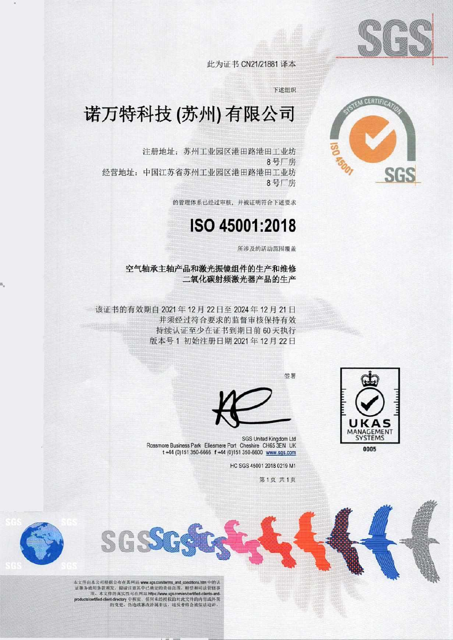

**CERTIFIC** 

此为证书 CN21/21881 译本

下述组织

## 诺万特科技(苏州)有限公司

注册地址:苏州工业园区港田路港田工业坊 8 号厂房 经烤地址:中国江苏省苏州工业园区港田路港田工业坊 8 号厂房

的管理体系己经过审核.并被证明符合卜述要求

## ISO 45001 :2018

所涉及的活动范围覆盖

空气轴承主轴产品和激光振镜组件的生产和维修 二氧化碳射频激光器产品的生产

该证书的有效期自 2021 年 12 月 22 日至 2024 年 12 月 21 日 并须经过符合要求的监督审核保持有效 持续认证至少在证书到期日前 60 天执行 版本号1 初始注册日期 2021 年 12 月 22 日



 $\blacksquare$ 

镶转



SGS United Kingdom Ltd Rossmore Business Park Ellesmere Port Cheshire CH65 3EN UK t+44 (0)151 350-6666 f +44 (0)151 350-6600 www.sqs.com

HC SGS 45001 20180219 Ml

第1页 共1页



本文件由本公司根据公布在其网站 www.sgs.com/terms\_and\_conditions.htm 中的认<br>证服务通用条款源发, 提请注意其中己确定的责任范围, 赔偿和司法管辖事 引用素氨酸及。提前注意共平已确定的具性能阻止,赔偿和可容官精争<br>項、本文件的真实性可在网站 https://www.sgs.com/en/cortified-clients-andproducts/certified-client-directory 中核实。任何未经授权的对此文件的内容成外观<br>的变更、伪造成篡改皆属非法、违反者将会被依法迫诉。

ff)

aaa